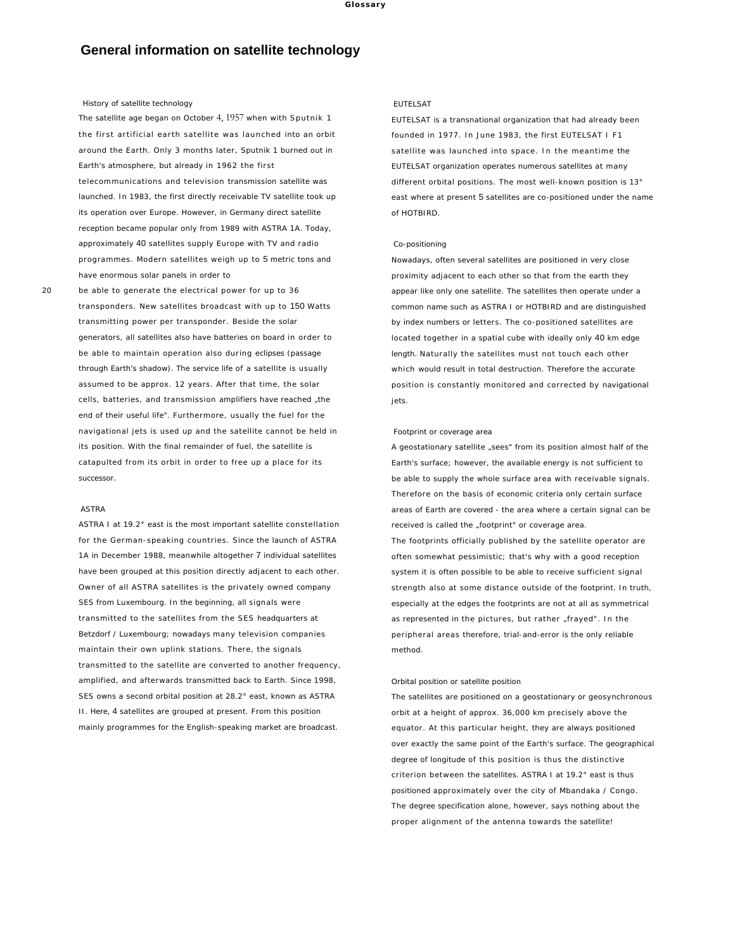# **General information on satellite technology**

## History of satellite technology

The satellite age began on October 4, 1957 when with Sputnik 1 the first artificial earth satellite was launched into an orbit around the Earth. Only 3 months later, Sputnik 1 burned out in Earth's atmosphere, but already in 1962 the first telecommunications and television transmission satellite was launched. In 1983, the first directly receivable TV satellite took up its operation over Europe. However, in Germany direct satellite reception became popular only from 1989 with ASTRA 1A. Today, approximately 40 satellites supply Europe with TV and radio programmes. Modern satellites weigh up to 5 metric tons and have enormous solar panels in order to

20 be able to generate the electrical power for up to 36 transponders. New satellites broadcast with up to 150 Watts transmitting power per transponder. Beside the solar generators, all satellites also have batteries on board in order to be able to maintain operation also during eclipses (passage through Earth's shadow). The service life of a satellite is usually assumed to be approx. 12 years. After that time, the solar cells, batteries, and transmission amplifiers have reached "the end of their useful life". Furthermore, usually the fuel for the navigational jets is used up and the satellite cannot be held in its position. With the final remainder of fuel, the satellite is catapulted from its orbit in order to free up a place for its successor.

#### ASTRA

ASTRA I at 19.2° east is the most important satellite constellation for the German-speaking countries. Since the launch of ASTRA 1A in December 1988, meanwhile altogether 7 individual satellites have been grouped at this position directly adjacent to each other. Owner of all ASTRA satellites is the privately owned company SES from Luxembourg. In the beginning, all signals were transmitted to the satellites from the SES headquarters at Betzdorf / Luxembourg; nowadays many television companies maintain their own uplink stations. There, the signals transmitted to the satellite are converted to another frequency, amplified, and afterwards transmitted back to Earth. Since 1998, SES owns a second orbital position at 28.2° east, known as ASTRA II. Here, 4 satellites are grouped at present. From this position mainly programmes for the English-speaking market are broadcast.

## EUTELSAT

EUTELSAT is a transnational organization that had already been founded in 1977. In June 1983, the first EUTELSAT I F1 satellite was launched into space . In the meantime the EUTELSAT organization operates numerous satellites at many different orbital positions. The most well-known position is 13° east where at present 5 satellites are co-positioned under the name of HOTBIRD.

## Co-positioning

Nowadays, often several satellites are positioned in very close proximity adjacent to each other so that from the earth they appear like only one satellite. The satellites then operate under a common name such as ASTRA I or HOTBIRD and are distinguished by index numbers or letters. The co-positioned satellites are located together in a spatial cube with ideally only 40 km edge length. Naturally the satellites must not touch each other which would result in total destruction. Therefore the accurate position is constantly monitored and corrected by navigational iets.

#### Footprint or coverage area

A geostationary satellite "sees" from its position almost half of the Earth's surface; however, the available energy is not sufficient to be able to supply the whole surface area with receivable signals. Therefore on the basis of economic criteria only certain surface areas of Earth are covered - the area where a certain signal can be received is called the "footprint" or coverage area. The footprints officially published by the satellite operator are often somewhat pessimistic; that's why with a good reception

system it is often possible to be able to receive sufficient signal strength also at some distance outside of the footprint. In truth, especially at the edges the footprints are not at all as symmetrical as represented in the pictures, but rather "frayed". In the peripheral areas therefore, trial-and-error is the only reliable method.

#### Orbital position or satellite position

The satellites are positioned on a geostationary or geosynchronous orbit at a height of approx. 36,000 km precisely above the equator. At this particular height, they are always positioned over exactly the same point of the Earth's surface. The geographical degree of longitude of this position is thus the distinctive criterion between the satellites. ASTRA I at 19.2° east is thus positioned approximately over the city of Mbandaka / Congo. The degree specification alone, however, says nothing about the proper alignment of the antenna towards the satellite!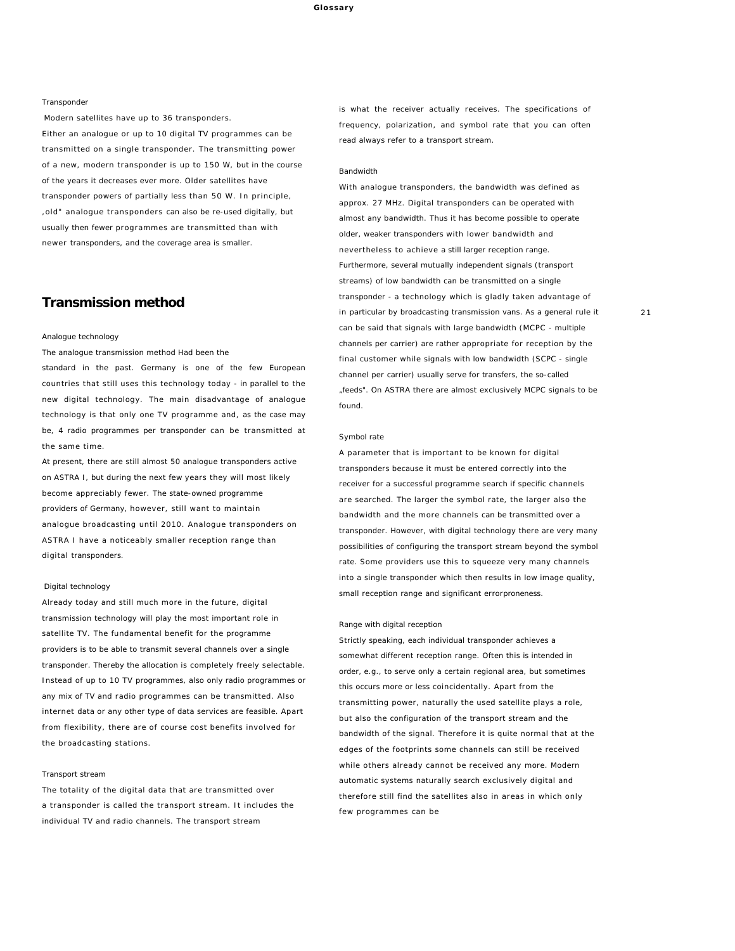#### Transponder

Modern satellites have up to 36 transponders.

Either an analogue or up to 10 digital TV programmes can be transmitted on a single transponder. The transmitting power of a new, modern transponder is up to 150 W, but in the course of the years it decreases ever more. Older satellites have transponder powers of partially less than 50 W. In principle, ,old" analogue transponders can also be re-used digitally, but usually then fewer programmes are transmitted than with newer transponders, and the coverage area is smaller.

## **Transmission method**

#### Analogue technology

The analogue transmission method Had been the

standard in the past. Germany is one of the few European countries that still uses this technology today - in parallel to the new digital technology. The main disadvantage of analogue technology is that only one TV programme and, as the case may be, 4 radio programmes per transponder can be transmitted at the same time.

At present, there are still almost 50 analogue transponders active on ASTRA I, but during the next few years they will most likely become appreciably fewer. The state-owned programme providers of Germany, however, still want to maintain analogue broadcasting until 2010. Analogue transponders on ASTRA I have a noticeably smaller reception range than digital transponders.

## Digital technology

Already today and still much more in the future, digital transmission technology will play the most important role in satellite TV. The fundamental benefit for the programme providers is to be able to transmit several channels over a single transponder. Thereby the allocation is completely freely selectable. Instead of up to 10 TV programmes, also only radio programmes or any mix of TV and radio programmes can be transmitted. Also internet data or any other type of data services are feasible. Apart from flexibility, there are of course cost benefits involved for the broadcasting stations.

## Transport stream

The totality of the digital data that are transmitted over a transponder is called the transport stream. It includes the individual TV and radio channels. The transport stream

is what the receiver actually receives. The specifications of frequency, polarization, and symbol rate that you can often read always refer to a transport stream.

#### Bandwidth

With analogue transponders, the bandwidth was defined as approx. 27 MHz. Digital transponders can be operated with almost any bandwidth. Thus it has become possible to operate older, weaker transponders with lower bandwidth and nevertheless to achieve a still larger reception range. Furthermore, several mutually independent signals (transport streams) of low bandwidth can be transmitted on a single transponder - a technology which is gladly taken advantage of in particular by broadcasting transmission vans. As a general rule it can be said that signals with large bandwidth (MCPC - multiple channels per carrier) are rather appropriate for reception by the final customer while signals with low bandwidth (SCPC - single channel per carrier) usually serve for transfers, the so-called "feeds". On ASTRA there are almost exclusively MCPC signals to be found.

#### Symbol rate

A parameter that is important to be known for digital transponders because it must be entered correctly into the receiver for a successful programme search if specific channels are searched. The larger the symbol rate, the larger also the bandwidth and the more channels can be transmitted over a transponder. However, with digital technology there are very many possibilities of configuring the transport stream beyond the symbol rate. Some providers use this to squeeze very many channels into a single transponder which then results in low image quality, small reception range and significant errorproneness.

#### Range with digital reception

Strictly speaking, each individual transponder achieves a somewhat different reception range. Often this is intended in order, e.g., to serve only a certain regional area, but sometimes this occurs more or less coincidentally. Apart from the transmitting power, naturally the used satellite plays a role, but also the configuration of the transport stream and the bandwidth of the signal. Therefore it is quite normal that at the edges of the footprints some channels can still be received while others already cannot be received any more. Modern automatic systems naturally search exclusively digital and therefore still find the satellites also in areas in which only few programmes can be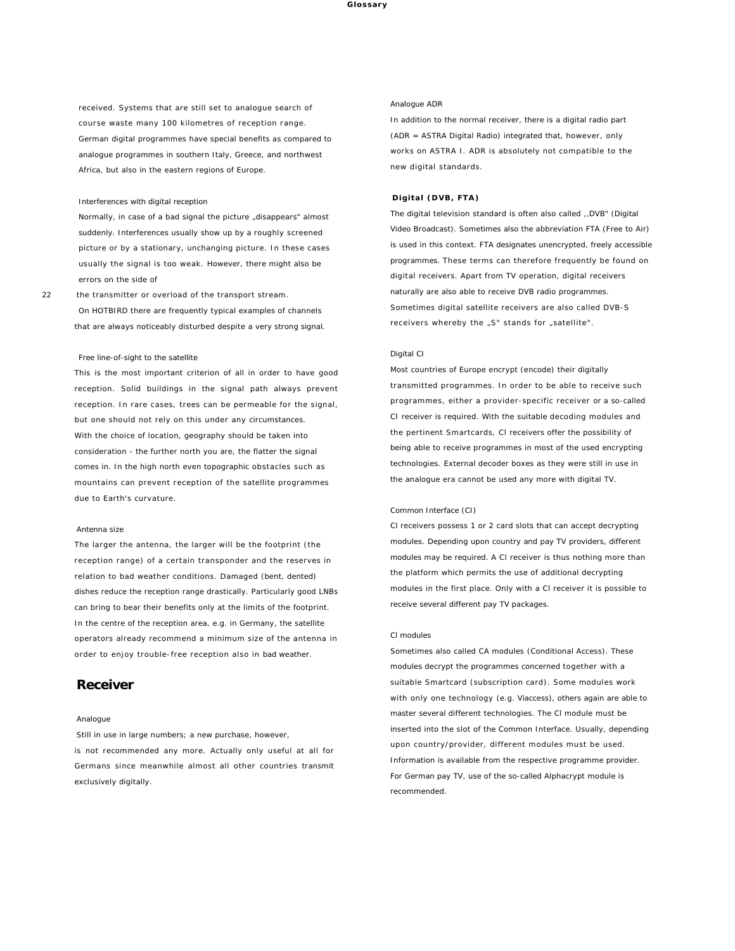received. Systems that are still set to analogue search of course waste many 100 kilometres of reception range. German digital programmes have special benefits as compared to analogue programmes in southern Italy, Greece, and northwest Africa, but also in the eastern regions of Europe.

#### Interferences with digital reception

Normally, in case of a bad signal the picture "disappears" almost suddenly. Interferences usually show up by a roughly screened picture or by a stationary, unchanging picture. In these cases usually the signal is too weak. However, there might also be errors on the side of

22 the transmitter or overload of the transport stream. On HOTBIRD there are frequently typical examples of channels that are always noticeably disturbed despite a very strong signal.

#### Free line-of-sight to the satellite

This is the most important criterion of all in order to have good reception. Solid buildings in the signal path always prevent reception. In rare cases, trees can be permeable for the signal, but one should not rely on this under any circumstances. With the choice of location, geography should be taken into consideration - the further north you are, the flatter the signal comes in. In the high north even topographic obstacles such as mountains can prevent reception of the satellite programmes due to Earth's curvature.

## Antenna size

The larger the antenna, the larger will be the footprint (the reception range) of a certain transponder and the reserves in relation to bad weather conditions. Damaged (bent, dented) dishes reduce the reception range drastically. Particularly good LNBs can bring to bear their benefits only at the limits of the footprint. In the centre of the reception area, e.g. in Germany, the satellite operators already recommend a minimum size of the antenna in order to enjoy trouble-free reception also in bad weather.

## **Receiver**

## Analogue

Still in use in large numbers; a new purchase, however,

is not recommended any more. Actually only useful at all for Germans since meanwhile almost all other countries transmit exclusively digitally.

## Analogue ADR

In addition to the normal receiver, there is a digital radio part (ADR = ASTRA Digital Radio) integrated that, however, only works on ASTRA I. ADR is absolutely not compatible to the new digital standards.

## **Digital (DVB, FTA)**

The digital television standard is often also called ,,DVB" (Digital Video Broadcast). Sometimes also the abbreviation FTA (Free to Air) is used in this context. FTA designates unencrypted, freely accessible programmes. These terms can therefore frequently be found on digital receivers. Apart from TV operation, digital receivers naturally are also able to receive DVB radio programmes. Sometimes digital satellite receivers are also called DVB-S receivers whereby the "S" stands for "satellite".

## Digital CI

Most countries of Europe encrypt (encode) their digitally transmitted programmes. In order to be able to receive such programmes, either a provider-specific receiver or a so-called CI receiver is required. With the suitable decoding modules and the pertinent Smartcards, Cl receivers offer the possibility of being able to receive programmes in most of the used encrypting technologies. External decoder boxes as they were still in use in the analogue era cannot be used any more with digital TV.

## Common Interface (CI)

Cl receivers possess 1 or 2 card slots that can accept decrypting modules. Depending upon country and pay TV providers, different modules may be required. A Cl receiver is thus nothing more than the platform which permits the use of additional decrypting modules in the first place. Only with a Cl receiver it is possible to receive several different pay TV packages.

#### Cl modules

Sometimes also called CA modules (Conditional Access). These modules decrypt the programmes concerned together with a suitable Smartcard (subscription card). Some modules work with only one technology (e.g. Viaccess), others again are able to master several different technologies. The Cl module must be inserted into the slot of the Common Interface. Usually, depending upon country/provider, different modules must be used. Information is available from the respective programme provider. For German pay TV, use of the so-called Alphacrypt module is recommended.